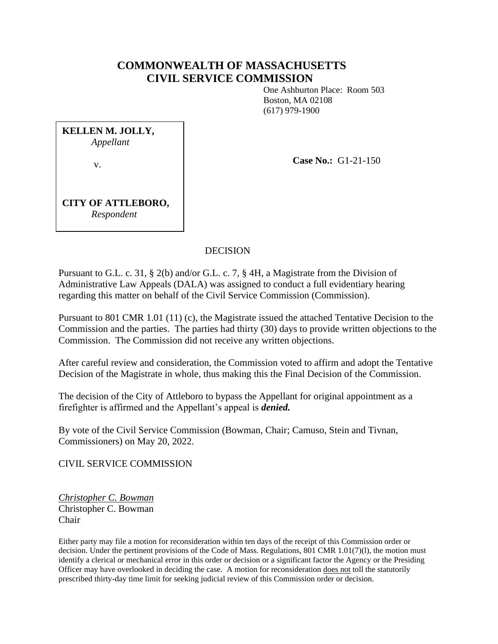# **COMMONWEALTH OF MASSACHUSETTS CIVIL SERVICE COMMISSION**

One Ashburton Place: Room 503 Boston, MA 02108 (617) 979-1900

**KELLEN M. JOLLY,** *Appellant* v.

**Case No.:** G1-21-150

**CITY OF ATTLEBORO,** *Respondent*

### DECISION

Pursuant to G.L. c. 31, § 2(b) and/or G.L. c. 7, § 4H, a Magistrate from the Division of Administrative Law Appeals (DALA) was assigned to conduct a full evidentiary hearing regarding this matter on behalf of the Civil Service Commission (Commission).

Pursuant to 801 CMR 1.01 (11) (c), the Magistrate issued the attached Tentative Decision to the Commission and the parties. The parties had thirty (30) days to provide written objections to the Commission. The Commission did not receive any written objections.

After careful review and consideration, the Commission voted to affirm and adopt the Tentative Decision of the Magistrate in whole, thus making this the Final Decision of the Commission.

The decision of the City of Attleboro to bypass the Appellant for original appointment as a firefighter is affirmed and the Appellant's appeal is *denied.*

By vote of the Civil Service Commission (Bowman, Chair; Camuso, Stein and Tivnan, Commissioners) on May 20, 2022.

CIVIL SERVICE COMMISSION

*Christopher C. Bowman* Christopher C. Bowman Chair

Either party may file a motion for reconsideration within ten days of the receipt of this Commission order or decision. Under the pertinent provisions of the Code of Mass. Regulations, 801 CMR 1.01(7)(1), the motion must identify a clerical or mechanical error in this order or decision or a significant factor the Agency or the Presiding Officer may have overlooked in deciding the case. A motion for reconsideration does not toll the statutorily prescribed thirty-day time limit for seeking judicial review of this Commission order or decision.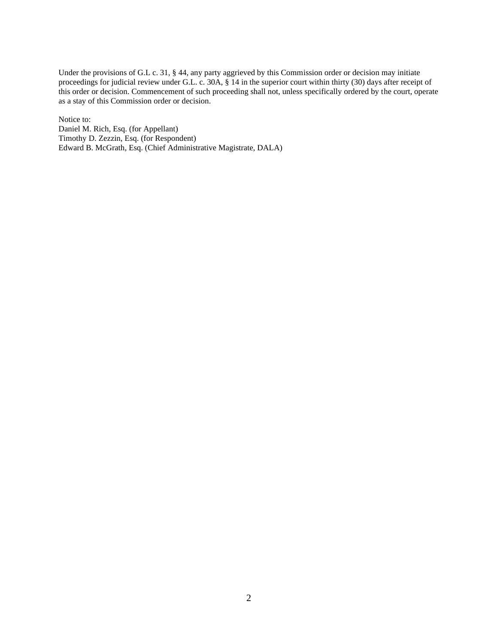Under the provisions of G.L c. 31, § 44, any party aggrieved by this Commission order or decision may initiate proceedings for judicial review under G.L. c. 30A, § 14 in the superior court within thirty (30) days after receipt of this order or decision. Commencement of such proceeding shall not, unless specifically ordered by the court, operate as a stay of this Commission order or decision.

Notice to:

Daniel M. Rich, Esq. (for Appellant) Timothy D. Zezzin, Esq. (for Respondent) Edward B. McGrath, Esq. (Chief Administrative Magistrate, DALA)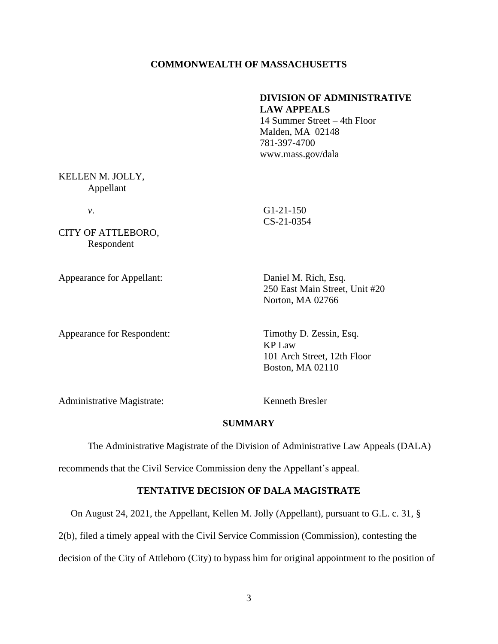#### **COMMONWEALTH OF MASSACHUSETTS**

### **DIVISION OF ADMINISTRATIVE LAW APPEALS**

14 Summer Street – 4th Floor Malden, MA 02148 781-397-4700 www.mass.gov/dala

### KELLEN M. JOLLY, Appellant

*v*. G1-21-150

CITY OF ATTLEBORO, Respondent

Appearance for Appellant: Daniel M. Rich, Esq.

CS-21-0354

250 East Main Street, Unit #20 Norton, MA 02766

Appearance for Respondent: Timothy D. Zessin, Esq.

KP Law 101 Arch Street, 12th Floor Boston, MA 02110

Administrative Magistrate: Kenneth Bresler

#### **SUMMARY**

The Administrative Magistrate of the Division of Administrative Law Appeals (DALA)

recommends that the Civil Service Commission deny the Appellant's appeal.

#### **TENTATIVE DECISION OF DALA MAGISTRATE**

On August 24, 2021, the Appellant, Kellen M. Jolly (Appellant), pursuant to G.L. c. 31, §

2(b), filed a timely appeal with the Civil Service Commission (Commission), contesting the

decision of the City of Attleboro (City) to bypass him for original appointment to the position of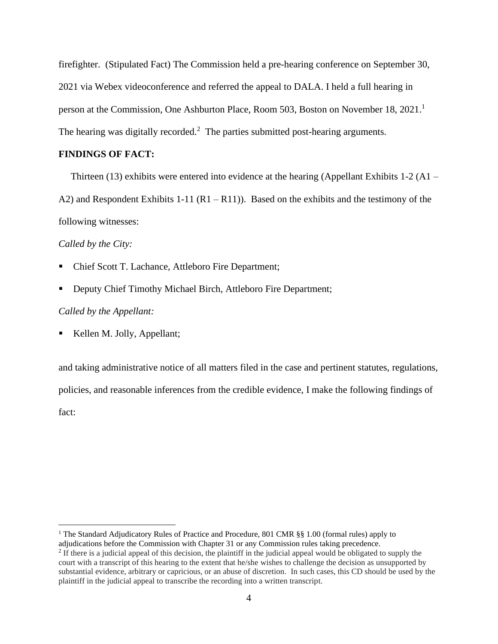firefighter. (Stipulated Fact) The Commission held a pre-hearing conference on September 30, 2021 via Webex videoconference and referred the appeal to DALA. I held a full hearing in person at the Commission, One Ashburton Place, Room 503, Boston on November 18, 2021. 1 The hearing was digitally recorded.<sup>2</sup> The parties submitted post-hearing arguments.

### **FINDINGS OF FACT:**

Thirteen (13) exhibits were entered into evidence at the hearing (Appellant Exhibits 1-2 (A1 – A2) and Respondent Exhibits 1-11 ( $R1 - R11$ )). Based on the exhibits and the testimony of the following witnesses:

*Called by the City:*

- Chief Scott T. Lachance, Attleboro Fire Department;
- Deputy Chief Timothy Michael Birch, Attleboro Fire Department;

#### *Called by the Appellant:*

■ Kellen M. Jolly, Appellant;

and taking administrative notice of all matters filed in the case and pertinent statutes, regulations, policies, and reasonable inferences from the credible evidence, I make the following findings of fact:

<sup>&</sup>lt;sup>1</sup> The Standard Adjudicatory Rules of Practice and Procedure, 801 CMR §§ 1.00 (formal rules) apply to adjudications before the Commission with Chapter 31 or any Commission rules taking precedence.

 $<sup>2</sup>$  If there is a judicial appeal of this decision, the plaintiff in the judicial appeal would be obligated to supply the</sup> court with a transcript of this hearing to the extent that he/she wishes to challenge the decision as unsupported by substantial evidence, arbitrary or capricious, or an abuse of discretion. In such cases, this CD should be used by the plaintiff in the judicial appeal to transcribe the recording into a written transcript.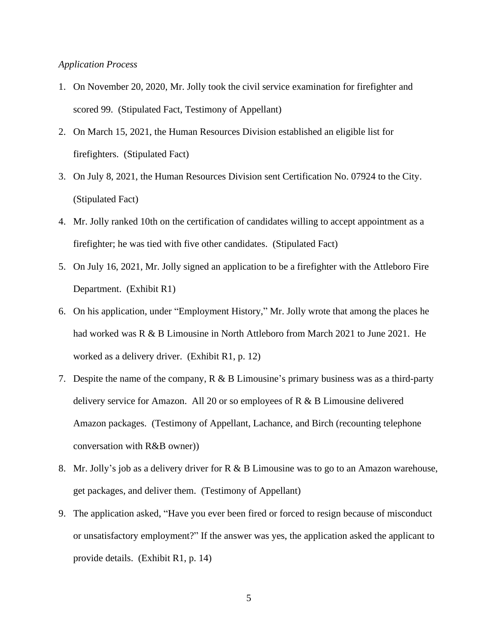#### *Application Process*

- 1. On November 20, 2020, Mr. Jolly took the civil service examination for firefighter and scored 99. (Stipulated Fact, Testimony of Appellant)
- 2. On March 15, 2021, the Human Resources Division established an eligible list for firefighters. (Stipulated Fact)
- 3. On July 8, 2021, the Human Resources Division sent Certification No. 07924 to the City. (Stipulated Fact)
- 4. Mr. Jolly ranked 10th on the certification of candidates willing to accept appointment as a firefighter; he was tied with five other candidates. (Stipulated Fact)
- 5. On July 16, 2021, Mr. Jolly signed an application to be a firefighter with the Attleboro Fire Department. (Exhibit R1)
- 6. On his application, under "Employment History," Mr. Jolly wrote that among the places he had worked was R & B Limousine in North Attleboro from March 2021 to June 2021. He worked as a delivery driver. (Exhibit R1, p. 12)
- 7. Despite the name of the company, R & B Limousine's primary business was as a third-party delivery service for Amazon. All 20 or so employees of  $R \& B$  Limousine delivered Amazon packages. (Testimony of Appellant, Lachance, and Birch (recounting telephone conversation with R&B owner))
- 8. Mr. Jolly's job as a delivery driver for R & B Limousine was to go to an Amazon warehouse, get packages, and deliver them. (Testimony of Appellant)
- 9. The application asked, "Have you ever been fired or forced to resign because of misconduct or unsatisfactory employment?" If the answer was yes, the application asked the applicant to provide details. (Exhibit R1, p. 14)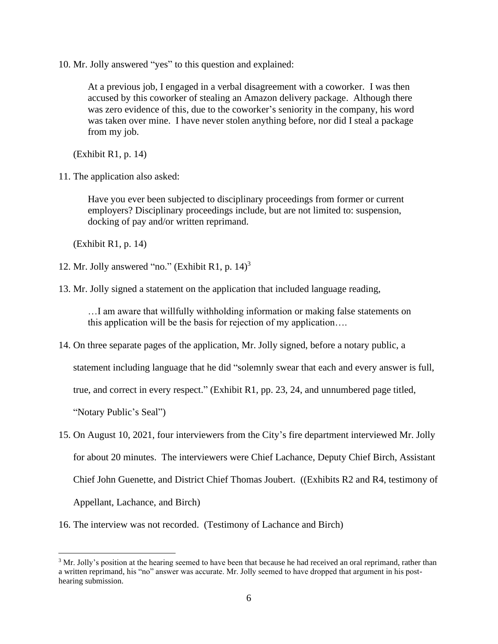10. Mr. Jolly answered "yes" to this question and explained:

At a previous job, I engaged in a verbal disagreement with a coworker. I was then accused by this coworker of stealing an Amazon delivery package. Although there was zero evidence of this, due to the coworker's seniority in the company, his word was taken over mine. I have never stolen anything before, nor did I steal a package from my job.

(Exhibit R1, p. 14)

11. The application also asked:

Have you ever been subjected to disciplinary proceedings from former or current employers? Disciplinary proceedings include, but are not limited to: suspension, docking of pay and/or written reprimand.

(Exhibit R1, p. 14)

- 12. Mr. Jolly answered "no." (Exhibit R1, p. 14) 3
- 13. Mr. Jolly signed a statement on the application that included language reading,

…I am aware that willfully withholding information or making false statements on this application will be the basis for rejection of my application….

14. On three separate pages of the application, Mr. Jolly signed, before a notary public, a

statement including language that he did "solemnly swear that each and every answer is full,

true, and correct in every respect." (Exhibit R1, pp. 23, 24, and unnumbered page titled,

"Notary Public's Seal")

- 15. On August 10, 2021, four interviewers from the City's fire department interviewed Mr. Jolly for about 20 minutes. The interviewers were Chief Lachance, Deputy Chief Birch, Assistant Chief John Guenette, and District Chief Thomas Joubert. ((Exhibits R2 and R4, testimony of Appellant, Lachance, and Birch)
- 16. The interview was not recorded. (Testimony of Lachance and Birch)

<sup>&</sup>lt;sup>3</sup> Mr. Jolly's position at the hearing seemed to have been that because he had received an oral reprimand, rather than a written reprimand, his "no" answer was accurate. Mr. Jolly seemed to have dropped that argument in his posthearing submission.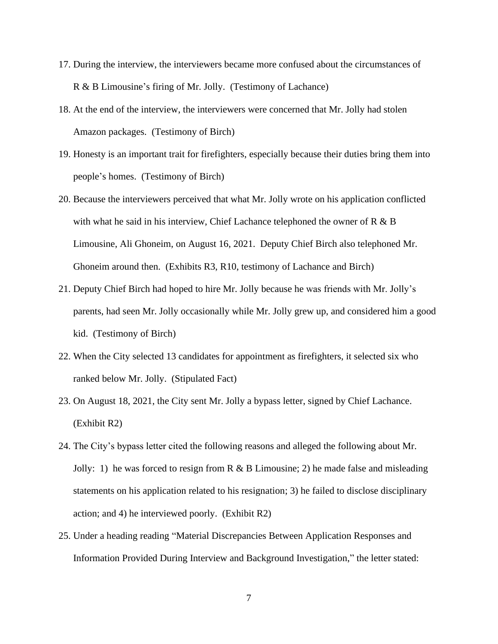- 17. During the interview, the interviewers became more confused about the circumstances of R & B Limousine's firing of Mr. Jolly. (Testimony of Lachance)
- 18. At the end of the interview, the interviewers were concerned that Mr. Jolly had stolen Amazon packages. (Testimony of Birch)
- 19. Honesty is an important trait for firefighters, especially because their duties bring them into people's homes. (Testimony of Birch)
- 20. Because the interviewers perceived that what Mr. Jolly wrote on his application conflicted with what he said in his interview, Chief Lachance telephoned the owner of  $R \& B$ Limousine, Ali Ghoneim, on August 16, 2021. Deputy Chief Birch also telephoned Mr. Ghoneim around then. (Exhibits R3, R10, testimony of Lachance and Birch)
- 21. Deputy Chief Birch had hoped to hire Mr. Jolly because he was friends with Mr. Jolly's parents, had seen Mr. Jolly occasionally while Mr. Jolly grew up, and considered him a good kid. (Testimony of Birch)
- 22. When the City selected 13 candidates for appointment as firefighters, it selected six who ranked below Mr. Jolly. (Stipulated Fact)
- 23. On August 18, 2021, the City sent Mr. Jolly a bypass letter, signed by Chief Lachance. (Exhibit R2)
- 24. The City's bypass letter cited the following reasons and alleged the following about Mr. Jolly: 1) he was forced to resign from R & B Limousine; 2) he made false and misleading statements on his application related to his resignation; 3) he failed to disclose disciplinary action; and 4) he interviewed poorly. (Exhibit R2)
- 25. Under a heading reading "Material Discrepancies Between Application Responses and Information Provided During Interview and Background Investigation," the letter stated: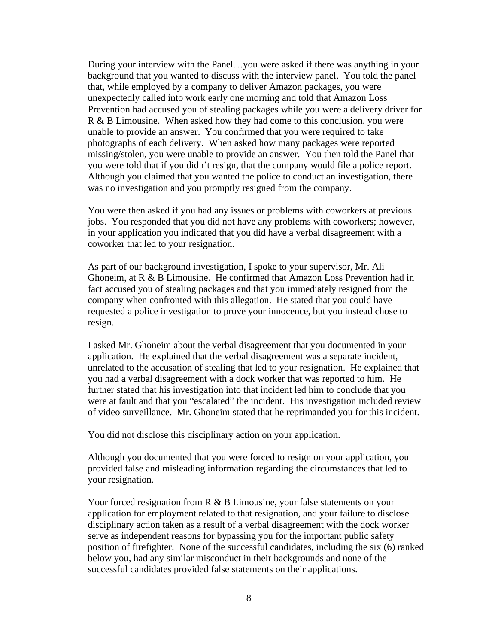During your interview with the Panel…you were asked if there was anything in your background that you wanted to discuss with the interview panel. You told the panel that, while employed by a company to deliver Amazon packages, you were unexpectedly called into work early one morning and told that Amazon Loss Prevention had accused you of stealing packages while you were a delivery driver for R & B Limousine. When asked how they had come to this conclusion, you were unable to provide an answer. You confirmed that you were required to take photographs of each delivery. When asked how many packages were reported missing/stolen, you were unable to provide an answer. You then told the Panel that you were told that if you didn't resign, that the company would file a police report. Although you claimed that you wanted the police to conduct an investigation, there was no investigation and you promptly resigned from the company.

You were then asked if you had any issues or problems with coworkers at previous jobs. You responded that you did not have any problems with coworkers; however, in your application you indicated that you did have a verbal disagreement with a coworker that led to your resignation.

As part of our background investigation, I spoke to your supervisor, Mr. Ali Ghoneim, at R & B Limousine. He confirmed that Amazon Loss Prevention had in fact accused you of stealing packages and that you immediately resigned from the company when confronted with this allegation. He stated that you could have requested a police investigation to prove your innocence, but you instead chose to resign.

I asked Mr. Ghoneim about the verbal disagreement that you documented in your application. He explained that the verbal disagreement was a separate incident, unrelated to the accusation of stealing that led to your resignation. He explained that you had a verbal disagreement with a dock worker that was reported to him. He further stated that his investigation into that incident led him to conclude that you were at fault and that you "escalated" the incident. His investigation included review of video surveillance. Mr. Ghoneim stated that he reprimanded you for this incident.

You did not disclose this disciplinary action on your application.

Although you documented that you were forced to resign on your application, you provided false and misleading information regarding the circumstances that led to your resignation.

Your forced resignation from  $R \& B$  Limousine, your false statements on your application for employment related to that resignation, and your failure to disclose disciplinary action taken as a result of a verbal disagreement with the dock worker serve as independent reasons for bypassing you for the important public safety position of firefighter. None of the successful candidates, including the six (6) ranked below you, had any similar misconduct in their backgrounds and none of the successful candidates provided false statements on their applications.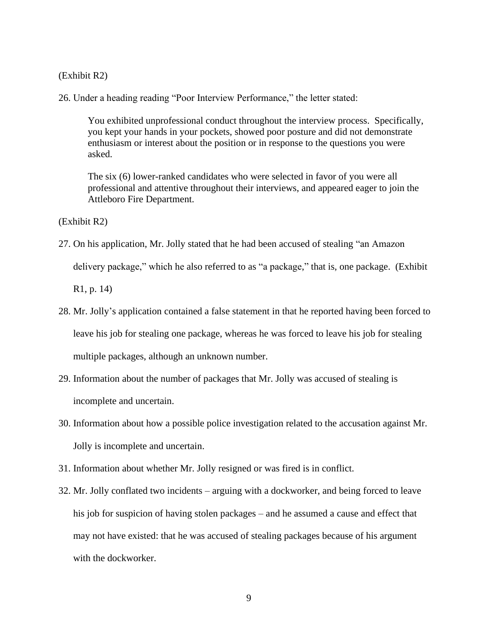(Exhibit R2)

26. Under a heading reading "Poor Interview Performance," the letter stated:

You exhibited unprofessional conduct throughout the interview process. Specifically, you kept your hands in your pockets, showed poor posture and did not demonstrate enthusiasm or interest about the position or in response to the questions you were asked.

The six (6) lower-ranked candidates who were selected in favor of you were all professional and attentive throughout their interviews, and appeared eager to join the Attleboro Fire Department.

(Exhibit R2)

27. On his application, Mr. Jolly stated that he had been accused of stealing "an Amazon delivery package," which he also referred to as "a package," that is, one package. (Exhibit

R1, p. 14)

- 28. Mr. Jolly's application contained a false statement in that he reported having been forced to leave his job for stealing one package, whereas he was forced to leave his job for stealing multiple packages, although an unknown number.
- 29. Information about the number of packages that Mr. Jolly was accused of stealing is incomplete and uncertain.
- 30. Information about how a possible police investigation related to the accusation against Mr. Jolly is incomplete and uncertain.
- 31. Information about whether Mr. Jolly resigned or was fired is in conflict.
- 32. Mr. Jolly conflated two incidents arguing with a dockworker, and being forced to leave his job for suspicion of having stolen packages – and he assumed a cause and effect that may not have existed: that he was accused of stealing packages because of his argument with the dockworker.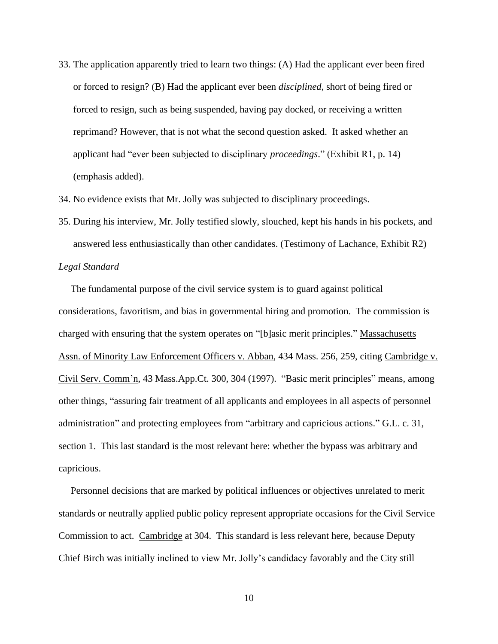33. The application apparently tried to learn two things: (A) Had the applicant ever been fired or forced to resign? (B) Had the applicant ever been *disciplined*, short of being fired or forced to resign, such as being suspended, having pay docked, or receiving a written reprimand? However, that is not what the second question asked. It asked whether an applicant had "ever been subjected to disciplinary *proceedings*." (Exhibit R1, p. 14) (emphasis added).

34. No evidence exists that Mr. Jolly was subjected to disciplinary proceedings.

35. During his interview, Mr. Jolly testified slowly, slouched, kept his hands in his pockets, and answered less enthusiastically than other candidates. (Testimony of Lachance, Exhibit R2)

### *Legal Standard*

 The fundamental purpose of the civil service system is to guard against political considerations, favoritism, and bias in governmental hiring and promotion. The commission is charged with ensuring that the system operates on "[b]asic merit principles." Massachusetts Assn. of Minority Law Enforcement Officers v. Abban, 434 Mass. 256, 259, citing Cambridge v. Civil Serv. Comm'n, 43 Mass.App.Ct. 300, 304 (1997). "Basic merit principles" means, among other things, "assuring fair treatment of all applicants and employees in all aspects of personnel administration" and protecting employees from "arbitrary and capricious actions." G.L. c. 31, section 1. This last standard is the most relevant here: whether the bypass was arbitrary and capricious.

 Personnel decisions that are marked by political influences or objectives unrelated to merit standards or neutrally applied public policy represent appropriate occasions for the Civil Service Commission to act. Cambridge at 304. This standard is less relevant here, because Deputy Chief Birch was initially inclined to view Mr. Jolly's candidacy favorably and the City still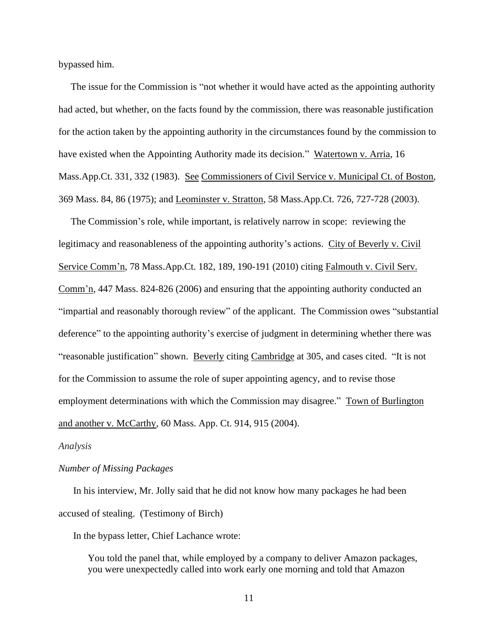bypassed him.

 The issue for the Commission is "not whether it would have acted as the appointing authority had acted, but whether, on the facts found by the commission, there was reasonable justification for the action taken by the appointing authority in the circumstances found by the commission to have existed when the Appointing Authority made its decision." Watertown v. Arria, 16 Mass.App.Ct. 331, 332 (1983). See Commissioners of Civil Service v. Municipal Ct. of Boston, 369 Mass. 84, 86 (1975); and Leominster v. Stratton, 58 Mass.App.Ct. 726, 727-728 (2003).

 The Commission's role, while important, is relatively narrow in scope: reviewing the legitimacy and reasonableness of the appointing authority's actions. City of Beverly v. Civil Service Comm'n, 78 Mass.App.Ct. 182, 189, 190-191 (2010) citing Falmouth v. Civil Serv. Comm'n, 447 Mass. 824-826 (2006) and ensuring that the appointing authority conducted an "impartial and reasonably thorough review" of the applicant. The Commission owes "substantial deference" to the appointing authority's exercise of judgment in determining whether there was "reasonable justification" shown. Beverly citing Cambridge at 305, and cases cited. "It is not for the Commission to assume the role of super appointing agency, and to revise those employment determinations with which the Commission may disagree." Town of Burlington and another v. McCarthy, 60 Mass. App. Ct. 914, 915 (2004).

#### *Analysis*

#### *Number of Missing Packages*

In his interview, Mr. Jolly said that he did not know how many packages he had been accused of stealing. (Testimony of Birch)

In the bypass letter, Chief Lachance wrote:

You told the panel that, while employed by a company to deliver Amazon packages, you were unexpectedly called into work early one morning and told that Amazon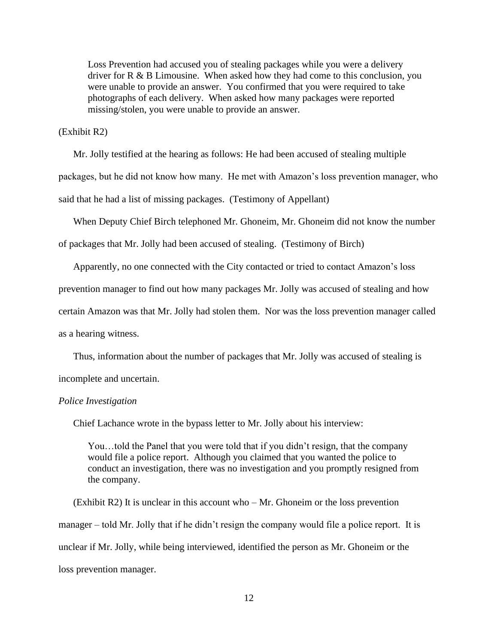Loss Prevention had accused you of stealing packages while you were a delivery driver for R & B Limousine. When asked how they had come to this conclusion, you were unable to provide an answer. You confirmed that you were required to take photographs of each delivery. When asked how many packages were reported missing/stolen, you were unable to provide an answer.

#### (Exhibit R2)

Mr. Jolly testified at the hearing as follows: He had been accused of stealing multiple packages, but he did not know how many. He met with Amazon's loss prevention manager, who said that he had a list of missing packages. (Testimony of Appellant)

When Deputy Chief Birch telephoned Mr. Ghoneim, Mr. Ghoneim did not know the number

of packages that Mr. Jolly had been accused of stealing. (Testimony of Birch)

Apparently, no one connected with the City contacted or tried to contact Amazon's loss

prevention manager to find out how many packages Mr. Jolly was accused of stealing and how

certain Amazon was that Mr. Jolly had stolen them. Nor was the loss prevention manager called

as a hearing witness.

Thus, information about the number of packages that Mr. Jolly was accused of stealing is

incomplete and uncertain.

#### *Police Investigation*

Chief Lachance wrote in the bypass letter to Mr. Jolly about his interview:

You…told the Panel that you were told that if you didn't resign, that the company would file a police report. Although you claimed that you wanted the police to conduct an investigation, there was no investigation and you promptly resigned from the company.

 $(Exhibit R2)$  It is unclear in this account who – Mr. Ghoneim or the loss prevention manager – told Mr. Jolly that if he didn't resign the company would file a police report. It is unclear if Mr. Jolly, while being interviewed, identified the person as Mr. Ghoneim or the loss prevention manager.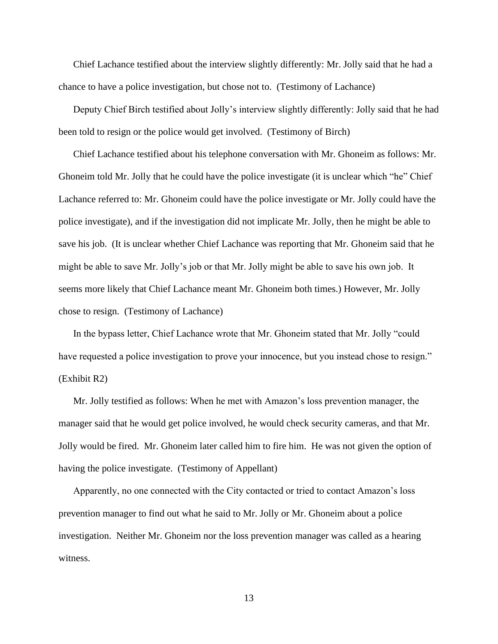Chief Lachance testified about the interview slightly differently: Mr. Jolly said that he had a chance to have a police investigation, but chose not to. (Testimony of Lachance)

Deputy Chief Birch testified about Jolly's interview slightly differently: Jolly said that he had been told to resign or the police would get involved. (Testimony of Birch)

Chief Lachance testified about his telephone conversation with Mr. Ghoneim as follows: Mr. Ghoneim told Mr. Jolly that he could have the police investigate (it is unclear which "he" Chief Lachance referred to: Mr. Ghoneim could have the police investigate or Mr. Jolly could have the police investigate), and if the investigation did not implicate Mr. Jolly, then he might be able to save his job. (It is unclear whether Chief Lachance was reporting that Mr. Ghoneim said that he might be able to save Mr. Jolly's job or that Mr. Jolly might be able to save his own job. It seems more likely that Chief Lachance meant Mr. Ghoneim both times.) However, Mr. Jolly chose to resign. (Testimony of Lachance)

In the bypass letter, Chief Lachance wrote that Mr. Ghoneim stated that Mr. Jolly "could have requested a police investigation to prove your innocence, but you instead chose to resign." (Exhibit R2)

Mr. Jolly testified as follows: When he met with Amazon's loss prevention manager, the manager said that he would get police involved, he would check security cameras, and that Mr. Jolly would be fired. Mr. Ghoneim later called him to fire him. He was not given the option of having the police investigate. (Testimony of Appellant)

Apparently, no one connected with the City contacted or tried to contact Amazon's loss prevention manager to find out what he said to Mr. Jolly or Mr. Ghoneim about a police investigation. Neither Mr. Ghoneim nor the loss prevention manager was called as a hearing witness.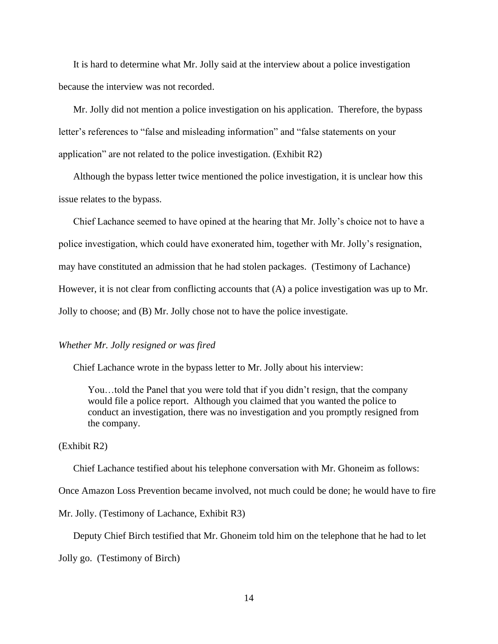It is hard to determine what Mr. Jolly said at the interview about a police investigation because the interview was not recorded.

Mr. Jolly did not mention a police investigation on his application. Therefore, the bypass letter's references to "false and misleading information" and "false statements on your application" are not related to the police investigation. (Exhibit R2)

Although the bypass letter twice mentioned the police investigation, it is unclear how this issue relates to the bypass.

Chief Lachance seemed to have opined at the hearing that Mr. Jolly's choice not to have a police investigation, which could have exonerated him, together with Mr. Jolly's resignation, may have constituted an admission that he had stolen packages. (Testimony of Lachance) However, it is not clear from conflicting accounts that (A) a police investigation was up to Mr. Jolly to choose; and (B) Mr. Jolly chose not to have the police investigate.

#### *Whether Mr. Jolly resigned or was fired*

Chief Lachance wrote in the bypass letter to Mr. Jolly about his interview:

You…told the Panel that you were told that if you didn't resign, that the company would file a police report. Although you claimed that you wanted the police to conduct an investigation, there was no investigation and you promptly resigned from the company.

#### (Exhibit R2)

Chief Lachance testified about his telephone conversation with Mr. Ghoneim as follows:

Once Amazon Loss Prevention became involved, not much could be done; he would have to fire

Mr. Jolly. (Testimony of Lachance, Exhibit R3)

Deputy Chief Birch testified that Mr. Ghoneim told him on the telephone that he had to let

Jolly go. (Testimony of Birch)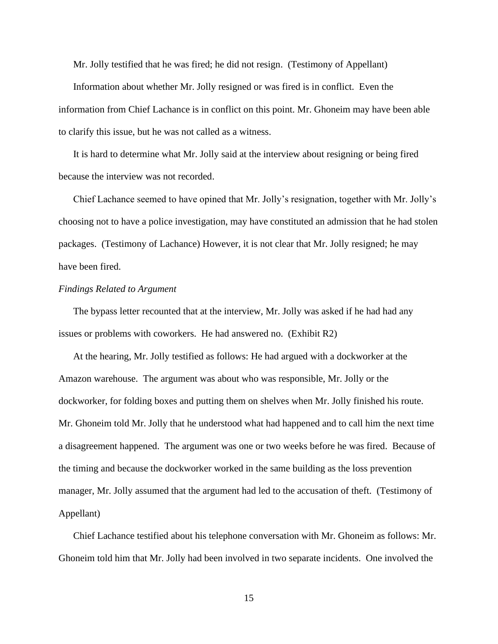Mr. Jolly testified that he was fired; he did not resign. (Testimony of Appellant)

Information about whether Mr. Jolly resigned or was fired is in conflict. Even the information from Chief Lachance is in conflict on this point. Mr. Ghoneim may have been able to clarify this issue, but he was not called as a witness.

It is hard to determine what Mr. Jolly said at the interview about resigning or being fired because the interview was not recorded.

Chief Lachance seemed to have opined that Mr. Jolly's resignation, together with Mr. Jolly's choosing not to have a police investigation, may have constituted an admission that he had stolen packages. (Testimony of Lachance) However, it is not clear that Mr. Jolly resigned; he may have been fired.

#### *Findings Related to Argument*

The bypass letter recounted that at the interview, Mr. Jolly was asked if he had had any issues or problems with coworkers. He had answered no. (Exhibit R2)

At the hearing, Mr. Jolly testified as follows: He had argued with a dockworker at the Amazon warehouse. The argument was about who was responsible, Mr. Jolly or the dockworker, for folding boxes and putting them on shelves when Mr. Jolly finished his route. Mr. Ghoneim told Mr. Jolly that he understood what had happened and to call him the next time a disagreement happened. The argument was one or two weeks before he was fired. Because of the timing and because the dockworker worked in the same building as the loss prevention manager, Mr. Jolly assumed that the argument had led to the accusation of theft. (Testimony of Appellant)

Chief Lachance testified about his telephone conversation with Mr. Ghoneim as follows: Mr. Ghoneim told him that Mr. Jolly had been involved in two separate incidents. One involved the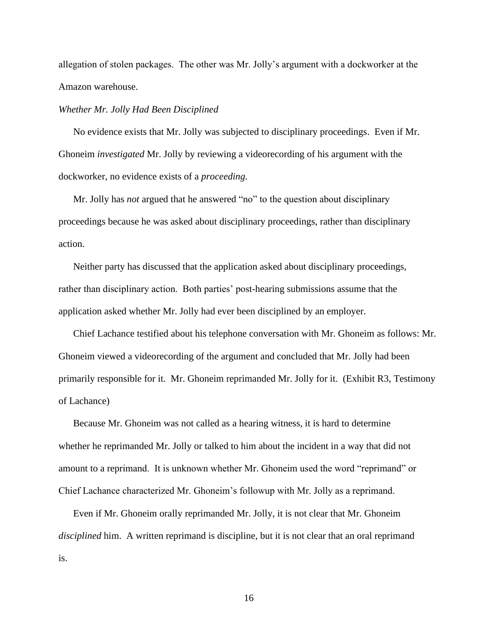allegation of stolen packages. The other was Mr. Jolly's argument with a dockworker at the Amazon warehouse.

#### *Whether Mr. Jolly Had Been Disciplined*

No evidence exists that Mr. Jolly was subjected to disciplinary proceedings. Even if Mr. Ghoneim *investigated* Mr. Jolly by reviewing a videorecording of his argument with the dockworker, no evidence exists of a *proceeding*.

Mr. Jolly has *not* argued that he answered "no" to the question about disciplinary proceedings because he was asked about disciplinary proceedings, rather than disciplinary action.

Neither party has discussed that the application asked about disciplinary proceedings, rather than disciplinary action. Both parties' post-hearing submissions assume that the application asked whether Mr. Jolly had ever been disciplined by an employer.

Chief Lachance testified about his telephone conversation with Mr. Ghoneim as follows: Mr. Ghoneim viewed a videorecording of the argument and concluded that Mr. Jolly had been primarily responsible for it. Mr. Ghoneim reprimanded Mr. Jolly for it. (Exhibit R3, Testimony of Lachance)

Because Mr. Ghoneim was not called as a hearing witness, it is hard to determine whether he reprimanded Mr. Jolly or talked to him about the incident in a way that did not amount to a reprimand. It is unknown whether Mr. Ghoneim used the word "reprimand" or Chief Lachance characterized Mr. Ghoneim's followup with Mr. Jolly as a reprimand.

Even if Mr. Ghoneim orally reprimanded Mr. Jolly, it is not clear that Mr. Ghoneim *disciplined* him. A written reprimand is discipline, but it is not clear that an oral reprimand is.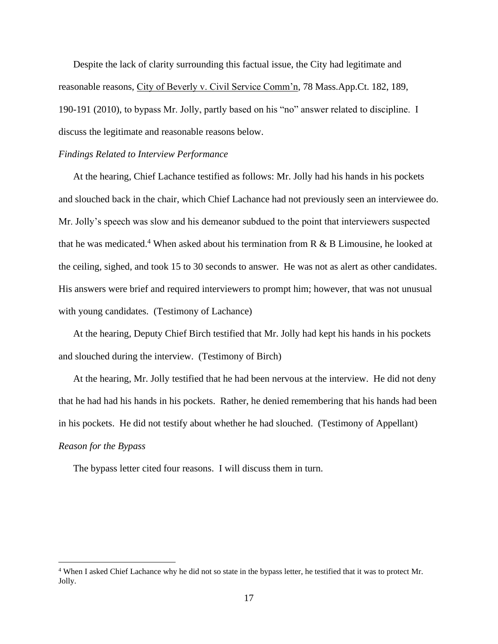Despite the lack of clarity surrounding this factual issue, the City had legitimate and reasonable reasons, City of Beverly v. Civil Service Comm'n, 78 Mass.App.Ct. 182, 189, 190-191 (2010), to bypass Mr. Jolly, partly based on his "no" answer related to discipline. I discuss the legitimate and reasonable reasons below.

#### *Findings Related to Interview Performance*

At the hearing, Chief Lachance testified as follows: Mr. Jolly had his hands in his pockets and slouched back in the chair, which Chief Lachance had not previously seen an interviewee do. Mr. Jolly's speech was slow and his demeanor subdued to the point that interviewers suspected that he was medicated.<sup>4</sup> When asked about his termination from R  $\&$  B Limousine, he looked at the ceiling, sighed, and took 15 to 30 seconds to answer. He was not as alert as other candidates. His answers were brief and required interviewers to prompt him; however, that was not unusual with young candidates. (Testimony of Lachance)

At the hearing, Deputy Chief Birch testified that Mr. Jolly had kept his hands in his pockets and slouched during the interview. (Testimony of Birch)

At the hearing, Mr. Jolly testified that he had been nervous at the interview. He did not deny that he had had his hands in his pockets. Rather, he denied remembering that his hands had been in his pockets. He did not testify about whether he had slouched. (Testimony of Appellant) *Reason for the Bypass*

The bypass letter cited four reasons. I will discuss them in turn.

<sup>4</sup> When I asked Chief Lachance why he did not so state in the bypass letter, he testified that it was to protect Mr. Jolly.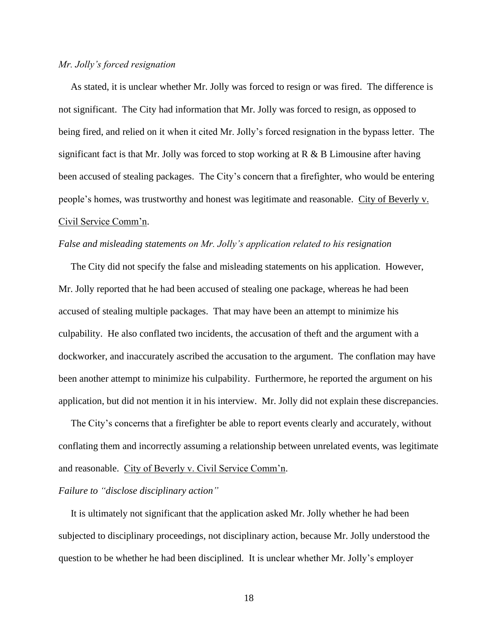#### *Mr. Jolly's forced resignation*

 As stated, it is unclear whether Mr. Jolly was forced to resign or was fired. The difference is not significant. The City had information that Mr. Jolly was forced to resign, as opposed to being fired, and relied on it when it cited Mr. Jolly's forced resignation in the bypass letter. The significant fact is that Mr. Jolly was forced to stop working at  $R \& B$  Limousine after having been accused of stealing packages. The City's concern that a firefighter, who would be entering people's homes, was trustworthy and honest was legitimate and reasonable. City of Beverly v. Civil Service Comm'n.

#### *False and misleading statements on Mr. Jolly's application related to his resignation*

 The City did not specify the false and misleading statements on his application. However, Mr. Jolly reported that he had been accused of stealing one package, whereas he had been accused of stealing multiple packages. That may have been an attempt to minimize his culpability. He also conflated two incidents, the accusation of theft and the argument with a dockworker, and inaccurately ascribed the accusation to the argument. The conflation may have been another attempt to minimize his culpability. Furthermore, he reported the argument on his application, but did not mention it in his interview. Mr. Jolly did not explain these discrepancies.

 The City's concerns that a firefighter be able to report events clearly and accurately, without conflating them and incorrectly assuming a relationship between unrelated events, was legitimate and reasonable. City of Beverly v. Civil Service Comm'n.

#### *Failure to "disclose disciplinary action"*

 It is ultimately not significant that the application asked Mr. Jolly whether he had been subjected to disciplinary proceedings, not disciplinary action, because Mr. Jolly understood the question to be whether he had been disciplined. It is unclear whether Mr. Jolly's employer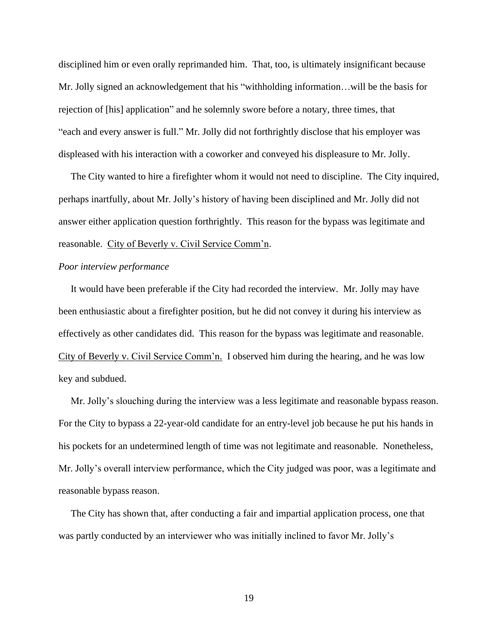disciplined him or even orally reprimanded him. That, too, is ultimately insignificant because Mr. Jolly signed an acknowledgement that his "withholding information…will be the basis for rejection of [his] application" and he solemnly swore before a notary, three times, that "each and every answer is full." Mr. Jolly did not forthrightly disclose that his employer was displeased with his interaction with a coworker and conveyed his displeasure to Mr. Jolly.

 The City wanted to hire a firefighter whom it would not need to discipline. The City inquired, perhaps inartfully, about Mr. Jolly's history of having been disciplined and Mr. Jolly did not answer either application question forthrightly. This reason for the bypass was legitimate and reasonable. City of Beverly v. Civil Service Comm'n.

#### *Poor interview performance*

 It would have been preferable if the City had recorded the interview. Mr. Jolly may have been enthusiastic about a firefighter position, but he did not convey it during his interview as effectively as other candidates did. This reason for the bypass was legitimate and reasonable. City of Beverly v. Civil Service Comm'n. I observed him during the hearing, and he was low key and subdued.

 Mr. Jolly's slouching during the interview was a less legitimate and reasonable bypass reason. For the City to bypass a 22-year-old candidate for an entry-level job because he put his hands in his pockets for an undetermined length of time was not legitimate and reasonable. Nonetheless, Mr. Jolly's overall interview performance, which the City judged was poor, was a legitimate and reasonable bypass reason.

 The City has shown that, after conducting a fair and impartial application process, one that was partly conducted by an interviewer who was initially inclined to favor Mr. Jolly's